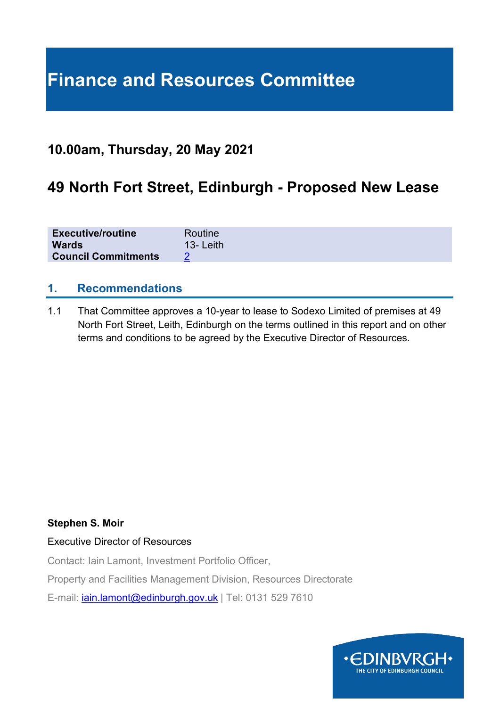# **Finance and Resources Committee**

# **10.00am, Thursday, 20 May 2021**

# **49 North Fort Street, Edinburgh - Proposed New Lease**

| <b>Executive/routine</b>   | Routine      |
|----------------------------|--------------|
| <b>Wards</b>               | $13 -$ Leith |
| <b>Council Commitments</b> |              |

### **1. Recommendations**

1.1 That Committee approves a 10-year to lease to Sodexo Limited of premises at 49 North Fort Street, Leith, Edinburgh on the terms outlined in this report and on other terms and conditions to be agreed by the Executive Director of Resources.

#### **Stephen S. Moir**

#### Executive Director of Resources

Contact: Iain Lamont, Investment Portfolio Officer,

Property and Facilities Management Division, Resources Directorate

E-mail: [iain.lamont@edinburgh.gov.uk](mailto:iain.lamont@edinburgh.gov.uk) | Tel: 0131 529 7610

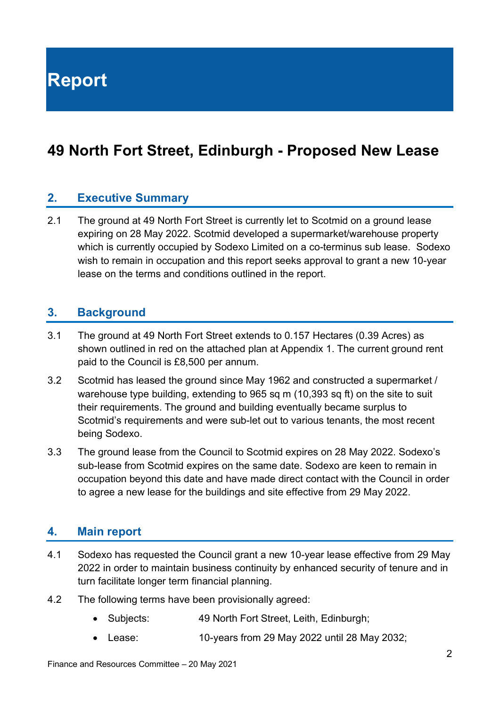**Report**

# **49 North Fort Street, Edinburgh - Proposed New Lease**

### **2. Executive Summary**

2.1 The ground at 49 North Fort Street is currently let to Scotmid on a ground lease expiring on 28 May 2022. Scotmid developed a supermarket/warehouse property which is currently occupied by Sodexo Limited on a co-terminus sub lease. Sodexo wish to remain in occupation and this report seeks approval to grant a new 10-year lease on the terms and conditions outlined in the report.

#### **3. Background**

- 3.1 The ground at 49 North Fort Street extends to 0.157 Hectares (0.39 Acres) as shown outlined in red on the attached plan at Appendix 1. The current ground rent paid to the Council is £8,500 per annum.
- 3.2 Scotmid has leased the ground since May 1962 and constructed a supermarket / warehouse type building, extending to 965 sq m (10,393 sq ft) on the site to suit their requirements. The ground and building eventually became surplus to Scotmid's requirements and were sub-let out to various tenants, the most recent being Sodexo.
- 3.3 The ground lease from the Council to Scotmid expires on 28 May 2022. Sodexo's sub-lease from Scotmid expires on the same date. Sodexo are keen to remain in occupation beyond this date and have made direct contact with the Council in order to agree a new lease for the buildings and site effective from 29 May 2022.

#### **4. Main report**

- 4.1 Sodexo has requested the Council grant a new 10-year lease effective from 29 May 2022 in order to maintain business continuity by enhanced security of tenure and in turn facilitate longer term financial planning.
- 4.2 The following terms have been provisionally agreed:
	- Subjects: 49 North Fort Street, Leith, Edinburgh;
	- Lease: 10-years from 29 May 2022 until 28 May 2032;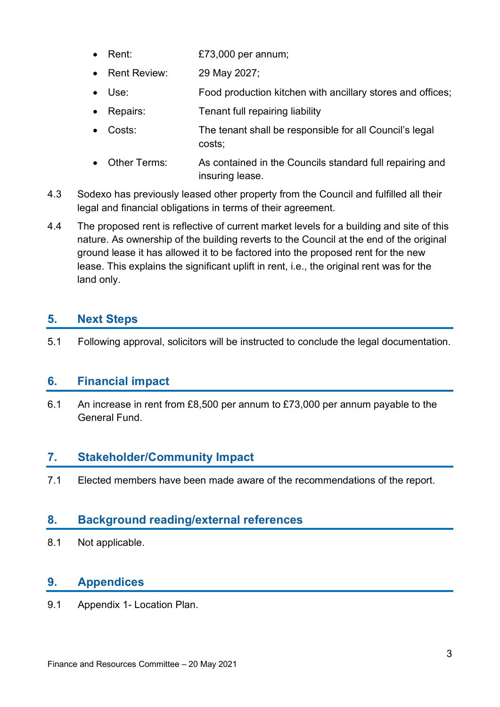- Rent: £73,000 per annum;
- Rent Review: 29 May 2027;
- Use: Food production kitchen with ancillary stores and offices;
- Repairs: Tenant full repairing liability
- Costs: The tenant shall be responsible for all Council's legal costs;
- Other Terms: As contained in the Councils standard full repairing and insuring lease.
- 4.3 Sodexo has previously leased other property from the Council and fulfilled all their legal and financial obligations in terms of their agreement.
- 4.4 The proposed rent is reflective of current market levels for a building and site of this nature. As ownership of the building reverts to the Council at the end of the original ground lease it has allowed it to be factored into the proposed rent for the new lease. This explains the significant uplift in rent, i.e., the original rent was for the land only.

# **5. Next Steps**

5.1 Following approval, solicitors will be instructed to conclude the legal documentation.

# **6. Financial impact**

6.1 An increase in rent from £8,500 per annum to £73,000 per annum payable to the General Fund.

# **7. Stakeholder/Community Impact**

7.1 Elected members have been made aware of the recommendations of the report.

# **8. Background reading/external references**

8.1 Not applicable.

# **9. Appendices**

9.1 Appendix 1- Location Plan.